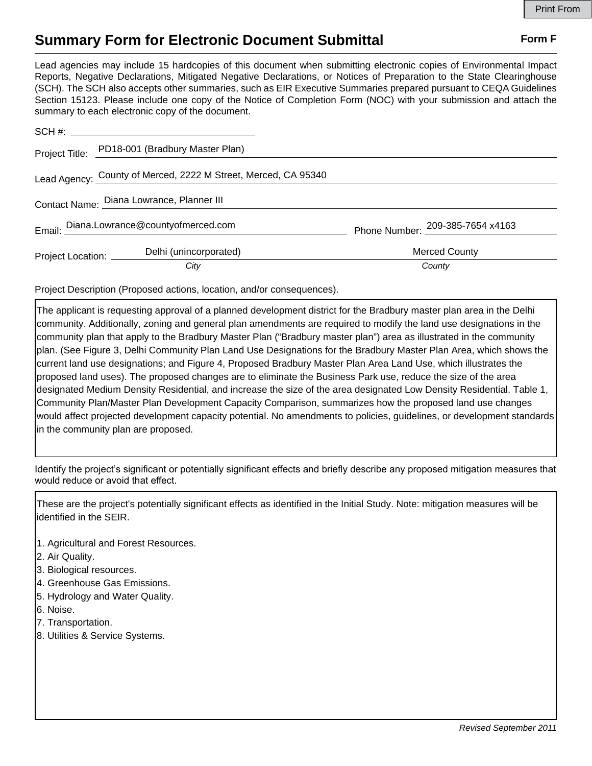## **Summary Form for Electronic Document Submittal Form F Form F**

Lead agencies may include 15 hardcopies of this document when submitting electronic copies of Environmental Impact Reports, Negative Declarations, Mitigated Negative Declarations, or Notices of Preparation to the State Clearinghouse (SCH). The SCH also accepts other summaries, such as EIR Executive Summaries prepared pursuant to CEQA Guidelines Section 15123. Please include one copy of the Notice of Completion Form (NOC) with your submission and attach the summary to each electronic copy of the document.

|                                           | Project Title: PD18-001 (Bradbury Master Plan)                 |                                  |
|-------------------------------------------|----------------------------------------------------------------|----------------------------------|
|                                           | Lead Agency: County of Merced, 2222 M Street, Merced, CA 95340 |                                  |
| Contact Name: Diana Lowrance, Planner III |                                                                |                                  |
|                                           | Email: Diana.Lowrance@countyofmerced.com                       | Phone Number: 209-385-7654 x4163 |
| Project Location: ______                  | Delhi (unincorporated)                                         | <b>Merced County</b>             |
|                                           | City                                                           | County                           |

Project Description (Proposed actions, location, and/or consequences).

The applicant is requesting approval of a planned development district for the Bradbury master plan area in the Delhi community. Additionally, zoning and general plan amendments are required to modify the land use designations in the community plan that apply to the Bradbury Master Plan ("Bradbury master plan") area as illustrated in the community plan. (See Figure 3, Delhi Community Plan Land Use Designations for the Bradbury Master Plan Area, which shows the current land use designations; and Figure 4, Proposed Bradbury Master Plan Area Land Use, which illustrates the proposed land uses). The proposed changes are to eliminate the Business Park use, reduce the size of the area designated Medium Density Residential, and increase the size of the area designated Low Density Residential. Table 1, Community Plan/Master Plan Development Capacity Comparison, summarizes how the proposed land use changes would affect projected development capacity potential. No amendments to policies, guidelines, or development standards in the community plan are proposed.

Identify the project's significant or potentially significant effects and briefly describe any proposed mitigation measures that would reduce or avoid that effect.

These are the project's potentially significant effects as identified in the Initial Study. Note: mitigation measures will be identified in the SEIR.

- 1. Agricultural and Forest Resources.
- 2. Air Quality.
- 3. Biological resources.
- 4. Greenhouse Gas Emissions.
- 5. Hydrology and Water Quality.
- 6. Noise.
- 7. Transportation.
- 8. Utilities & Service Systems.